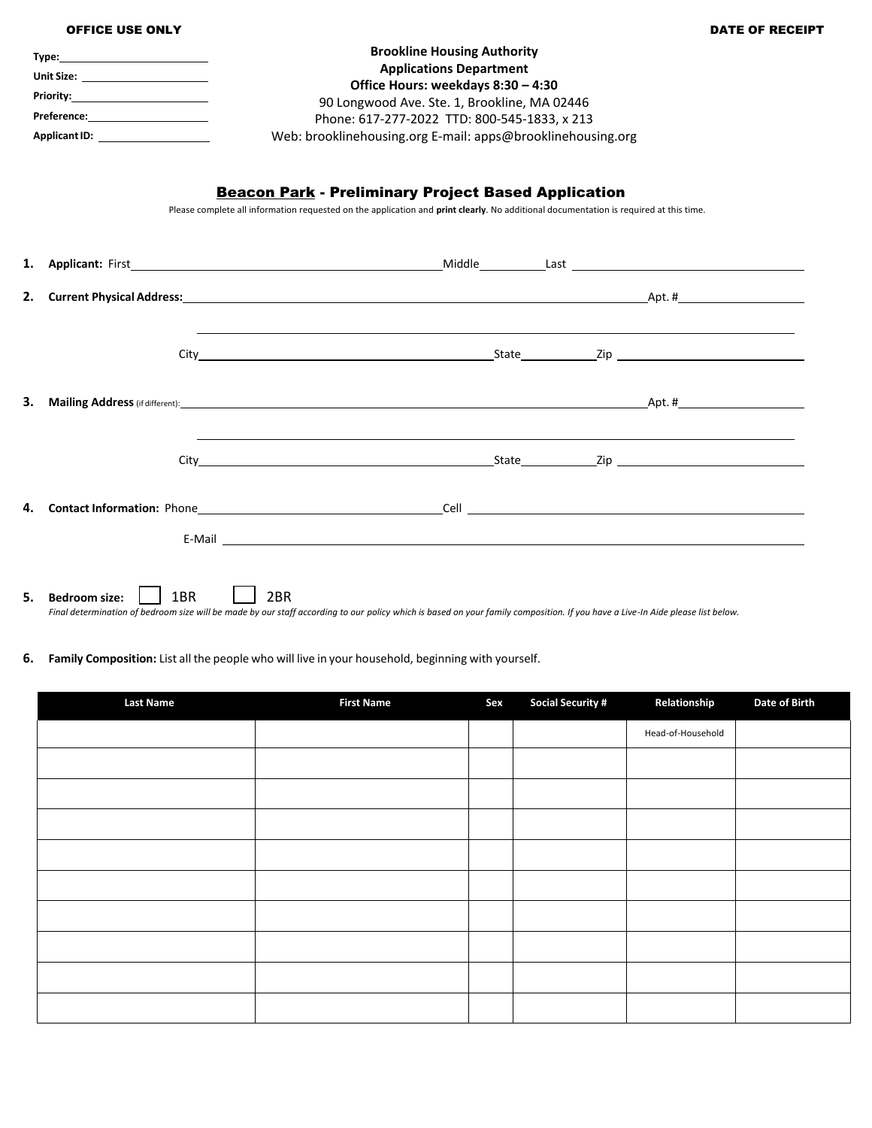|    | <b>OFFICE USE ONLY</b>               |                                                                                                                                                                                                                                    | <b>DATE OF RECEIPT</b> |
|----|--------------------------------------|------------------------------------------------------------------------------------------------------------------------------------------------------------------------------------------------------------------------------------|------------------------|
|    |                                      | <b>Brookline Housing Authority</b>                                                                                                                                                                                                 |                        |
|    | Unit Size: _______________________   | <b>Applications Department</b>                                                                                                                                                                                                     |                        |
|    |                                      | Office Hours: weekdays 8:30 - 4:30                                                                                                                                                                                                 |                        |
|    |                                      | 90 Longwood Ave. Ste. 1, Brookline, MA 02446                                                                                                                                                                                       |                        |
|    | Preference:_________________________ | Phone: 617-277-2022 TTD: 800-545-1833, x 213                                                                                                                                                                                       |                        |
|    |                                      | Web: brooklinehousing.org E-mail: apps@brooklinehousing.org                                                                                                                                                                        |                        |
|    |                                      | <b>Beacon Park - Preliminary Project Based Application</b><br>Please complete all information requested on the application and print clearly. No additional documentation is required at this time.                                |                        |
| 1. |                                      |                                                                                                                                                                                                                                    |                        |
| 2. |                                      | <b>Current Physical Address:</b> Apt. # Apt. # Apt. # Apt. # Apt. # Apt. # Apt. # Apt. # Apt. # Apt. # Apt. # Apt. # Apt. # Apt. # Apt. # Apt. # Apt. # Apt. # Apt. # Apt. # Apt. # Apt. # Apt. # Apt. # Apt. # Apt. # Apt. # Apt. |                        |
|    |                                      | ,我们也不会有什么。""我们的人,我们也不会有什么?""我们的人,我们也不会有什么?""我们的人,我们的人,我们的人,我们的人,我们的人,我们的人,我们的人,我                                                                                                                                                   |                        |
| 3. |                                      |                                                                                                                                                                                                                                    |                        |
|    |                                      |                                                                                                                                                                                                                                    |                        |
| 4. |                                      |                                                                                                                                                                                                                                    |                        |
|    |                                      | E-Mail experience and the contract of the contract of the contract of the contract of the contract of the contract of the contract of the contract of the contract of the contract of the contract of the contract of the cont     |                        |
| 5. | 1BR<br><b>Bedroom size:</b>          | 2 <sub>BR</sub><br>Final determination of bedroom size will be made by our staff according to our policy which is based on your family composition. If you have a Live-In Aide please list below.                                  |                        |

## **6. Family Composition:** List all the people who will live in your household, beginning with yourself.

| <b>Last Name</b> | <b>First Name</b> | Sex | <b>Social Security #</b> | Relationship      | <b>Date of Birth</b> |
|------------------|-------------------|-----|--------------------------|-------------------|----------------------|
|                  |                   |     |                          | Head-of-Household |                      |
|                  |                   |     |                          |                   |                      |
|                  |                   |     |                          |                   |                      |
|                  |                   |     |                          |                   |                      |
|                  |                   |     |                          |                   |                      |
|                  |                   |     |                          |                   |                      |
|                  |                   |     |                          |                   |                      |
|                  |                   |     |                          |                   |                      |
|                  |                   |     |                          |                   |                      |
|                  |                   |     |                          |                   |                      |